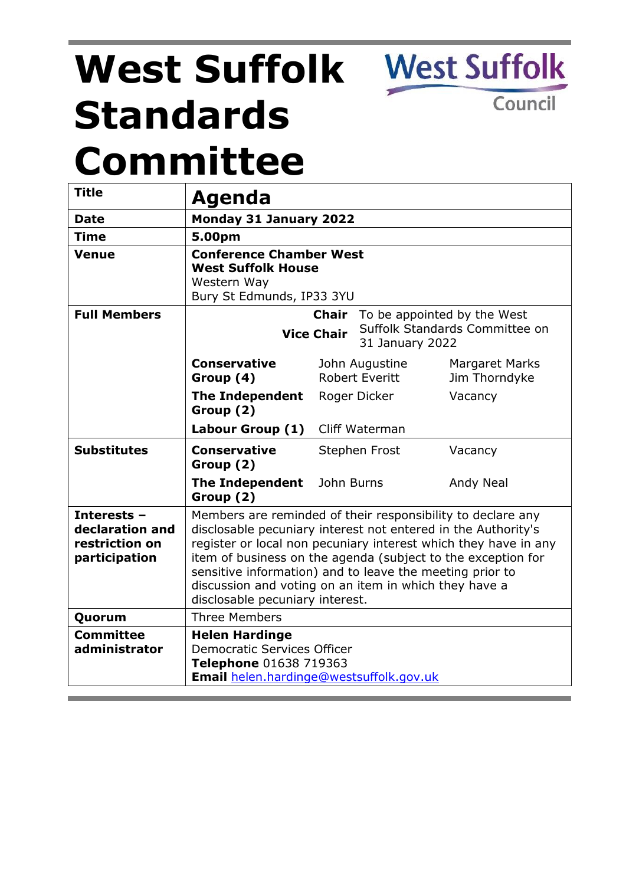# **West Suffolk Standards Committee**

**West Suffolk** 

Council

| <b>Title</b>                                                      |                                                                                                                                                                                                                                                                                                                                                                                                                         |               |                                         |                                        |  |
|-------------------------------------------------------------------|-------------------------------------------------------------------------------------------------------------------------------------------------------------------------------------------------------------------------------------------------------------------------------------------------------------------------------------------------------------------------------------------------------------------------|---------------|-----------------------------------------|----------------------------------------|--|
|                                                                   | Agenda                                                                                                                                                                                                                                                                                                                                                                                                                  |               |                                         |                                        |  |
| <b>Date</b>                                                       | <b>Monday 31 January 2022</b>                                                                                                                                                                                                                                                                                                                                                                                           |               |                                         |                                        |  |
| <b>Time</b>                                                       | 5.00pm                                                                                                                                                                                                                                                                                                                                                                                                                  |               |                                         |                                        |  |
| <b>Venue</b>                                                      | <b>Conference Chamber West</b><br><b>West Suffolk House</b><br>Western Way<br>Bury St Edmunds, IP33 3YU                                                                                                                                                                                                                                                                                                                 |               |                                         |                                        |  |
| <b>Full Members</b>                                               | <b>Chair</b><br>To be appointed by the West<br>Suffolk Standards Committee on<br><b>Vice Chair</b><br>31 January 2022                                                                                                                                                                                                                                                                                                   |               |                                         |                                        |  |
|                                                                   | <b>Conservative</b><br>Group (4)                                                                                                                                                                                                                                                                                                                                                                                        |               | John Augustine<br><b>Robert Everitt</b> | <b>Margaret Marks</b><br>Jim Thorndyke |  |
|                                                                   | <b>The Independent</b><br>Group (2)                                                                                                                                                                                                                                                                                                                                                                                     |               | Roger Dicker                            | Vacancy                                |  |
|                                                                   | Labour Group (1) Cliff Waterman                                                                                                                                                                                                                                                                                                                                                                                         |               |                                         |                                        |  |
| <b>Substitutes</b>                                                | <b>Conservative</b><br>Group (2)                                                                                                                                                                                                                                                                                                                                                                                        | Stephen Frost |                                         | Vacancy                                |  |
|                                                                   | <b>The Independent</b><br>Group (2)                                                                                                                                                                                                                                                                                                                                                                                     | John Burns    |                                         | Andy Neal                              |  |
| Interests -<br>declaration and<br>restriction on<br>participation | Members are reminded of their responsibility to declare any<br>disclosable pecuniary interest not entered in the Authority's<br>register or local non pecuniary interest which they have in any<br>item of business on the agenda (subject to the exception for<br>sensitive information) and to leave the meeting prior to<br>discussion and voting on an item in which they have a<br>disclosable pecuniary interest. |               |                                         |                                        |  |
| Quorum                                                            | <b>Three Members</b>                                                                                                                                                                                                                                                                                                                                                                                                    |               |                                         |                                        |  |
| <b>Committee</b><br>administrator                                 | <b>Helen Hardinge</b><br><b>Democratic Services Officer</b><br>Telephone 01638 719363<br>Email helen.hardinge@westsuffolk.gov.uk                                                                                                                                                                                                                                                                                        |               |                                         |                                        |  |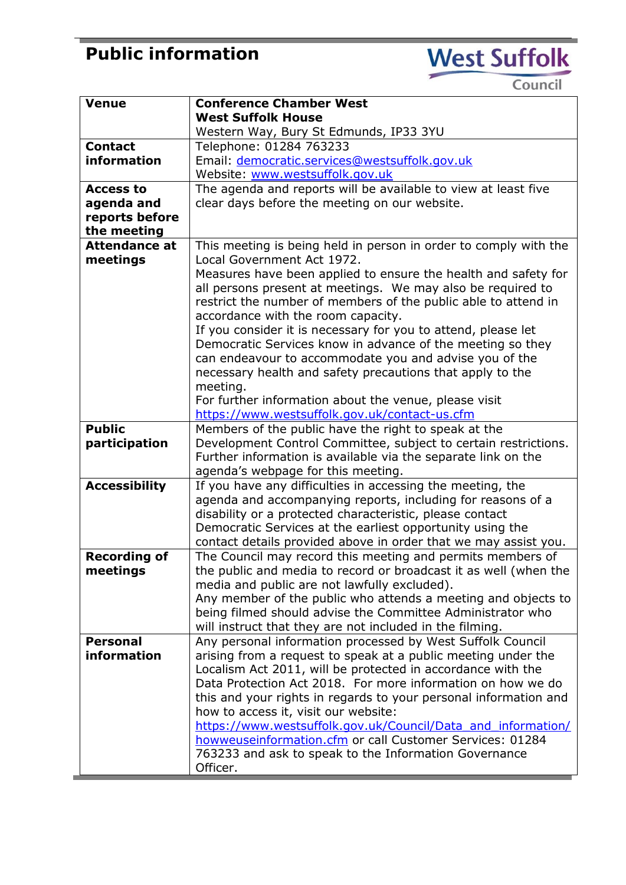## **Public information**

**West Suffolk** 

Council

| <b>Venue</b>         | <b>Conference Chamber West</b>                                   |  |  |
|----------------------|------------------------------------------------------------------|--|--|
|                      | <b>West Suffolk House</b>                                        |  |  |
|                      | Western Way, Bury St Edmunds, IP33 3YU                           |  |  |
| <b>Contact</b>       | Telephone: 01284 763233                                          |  |  |
| information          | Email: democratic.services@westsuffolk.gov.uk                    |  |  |
|                      | Website: www.westsuffolk.gov.uk                                  |  |  |
| <b>Access to</b>     | The agenda and reports will be available to view at least five   |  |  |
| agenda and           | clear days before the meeting on our website.                    |  |  |
| reports before       |                                                                  |  |  |
| the meeting          |                                                                  |  |  |
| <b>Attendance at</b> | This meeting is being held in person in order to comply with the |  |  |
| meetings             | Local Government Act 1972.                                       |  |  |
|                      | Measures have been applied to ensure the health and safety for   |  |  |
|                      | all persons present at meetings. We may also be required to      |  |  |
|                      | restrict the number of members of the public able to attend in   |  |  |
|                      | accordance with the room capacity.                               |  |  |
|                      | If you consider it is necessary for you to attend, please let    |  |  |
|                      | Democratic Services know in advance of the meeting so they       |  |  |
|                      | can endeavour to accommodate you and advise you of the           |  |  |
|                      | necessary health and safety precautions that apply to the        |  |  |
|                      | meeting.                                                         |  |  |
|                      | For further information about the venue, please visit            |  |  |
|                      | https://www.westsuffolk.gov.uk/contact-us.cfm                    |  |  |
| <b>Public</b>        | Members of the public have the right to speak at the             |  |  |
| participation        | Development Control Committee, subject to certain restrictions.  |  |  |
|                      |                                                                  |  |  |
|                      | Further information is available via the separate link on the    |  |  |
|                      | agenda's webpage for this meeting.                               |  |  |
| <b>Accessibility</b> | If you have any difficulties in accessing the meeting, the       |  |  |
|                      | agenda and accompanying reports, including for reasons of a      |  |  |
|                      | disability or a protected characteristic, please contact         |  |  |
|                      | Democratic Services at the earliest opportunity using the        |  |  |
|                      | contact details provided above in order that we may assist you.  |  |  |
| <b>Recording of</b>  | The Council may record this meeting and permits members of       |  |  |
| meetings             | the public and media to record or broadcast it as well (when the |  |  |
|                      | media and public are not lawfully excluded).                     |  |  |
|                      | Any member of the public who attends a meeting and objects to    |  |  |
|                      | being filmed should advise the Committee Administrator who       |  |  |
|                      | will instruct that they are not included in the filming.         |  |  |
| <b>Personal</b>      | Any personal information processed by West Suffolk Council       |  |  |
| information          | arising from a request to speak at a public meeting under the    |  |  |
|                      | Localism Act 2011, will be protected in accordance with the      |  |  |
|                      | Data Protection Act 2018. For more information on how we do      |  |  |
|                      | this and your rights in regards to your personal information and |  |  |
|                      | how to access it, visit our website:                             |  |  |
|                      | https://www.westsuffolk.gov.uk/Council/Data and information/     |  |  |
|                      | howweuseinformation.cfm or call Customer Services: 01284         |  |  |
|                      | 763233 and ask to speak to the Information Governance            |  |  |
|                      | Officer.                                                         |  |  |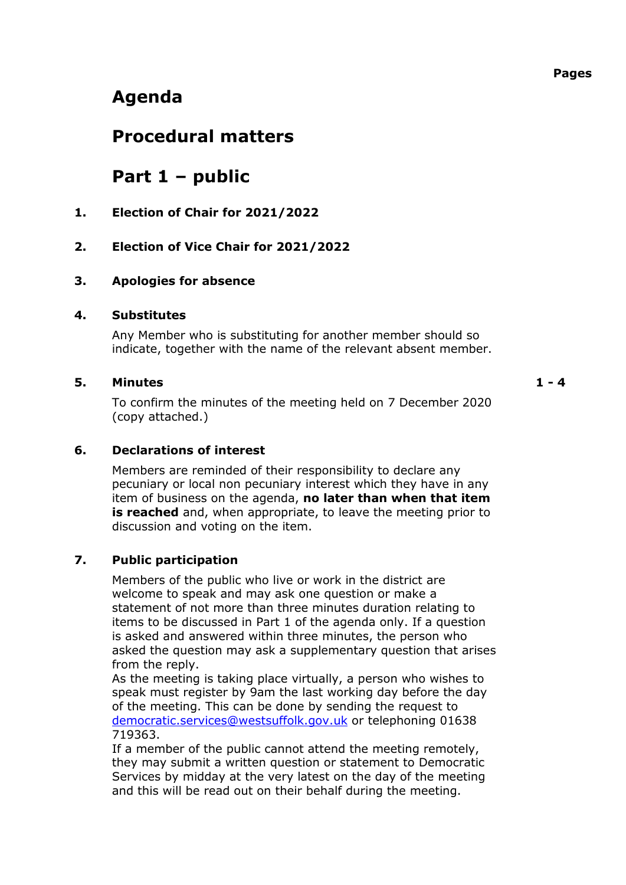## **Agenda**

### **Procedural matters**

## **Part 1 – public**

**1. Election of Chair for 2021/2022**

#### **2. Election of Vice Chair for 2021/2022**

#### **3. Apologies for absence**

#### **4. Substitutes**

Any Member who is substituting for another member should so indicate, together with the name of the relevant absent member.

#### **5. Minutes 1 - 4**

To confirm the minutes of the meeting held on 7 December 2020 (copy attached.)

#### **6. Declarations of interest**

Members are reminded of their responsibility to declare any pecuniary or local non pecuniary interest which they have in any item of business on the agenda, **no later than when that item is reached** and, when appropriate, to leave the meeting prior to discussion and voting on the item.

#### **7. Public participation**

Members of the public who live or work in the district are welcome to speak and may ask one question or make a statement of not more than three minutes duration relating to items to be discussed in Part 1 of the agenda only. If a question is asked and answered within three minutes, the person who asked the question may ask a supplementary question that arises from the reply.

As the meeting is taking place virtually, a person who wishes to speak must register by 9am the last working day before the day of the meeting. This can be done by sending the request to [democratic.services@westsuffolk.gov.uk](mailto:democratic.services@westsuffolk.gov.uk) or telephoning 01638 719363.

If a member of the public cannot attend the meeting remotely, they may submit a written question or statement to Democratic Services by midday at the very latest on the day of the meeting and this will be read out on their behalf during the meeting.